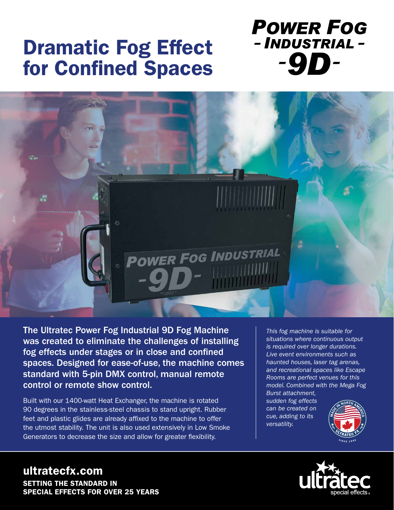## Dramatic Fog Effect for Confined Spaces

**POWER FOG** - INDUSTRIAL --9D-



The Ultratec Power Fog Industrial 9D Fog Machine was created to eliminate the challenges of installing fog effects under stages or in close and confined spaces. Designed for ease-of-use, the machine comes standard with 5-pin DMX control, manual remote control or remote show control.

Built with our 1400-watt Heat Exchanger, the machine is rotated 90 degrees in the stainless-steel chassis to stand upright. Rubber feet and plastic glides are already affixed to the machine to offer the utmost stability. The unit is also used extensively in Low Smoke Generators to decrease the size and allow for greater flexibility.

*This fog machine is suitable for situations where continuous output is required over longer durations. Live event environments such as haunted houses, laser tag arenas, and recreational spaces like Escape Rooms are perfect venues for this model. Combined with the Mega Fog* 

*Burst attachment, sudden fog effects can be created on cue, adding to its versatility.* 





ultratecfx.com SETTING THE STANDARD IN SPECIAL EFFECTS FOR OVER 25 YEARS